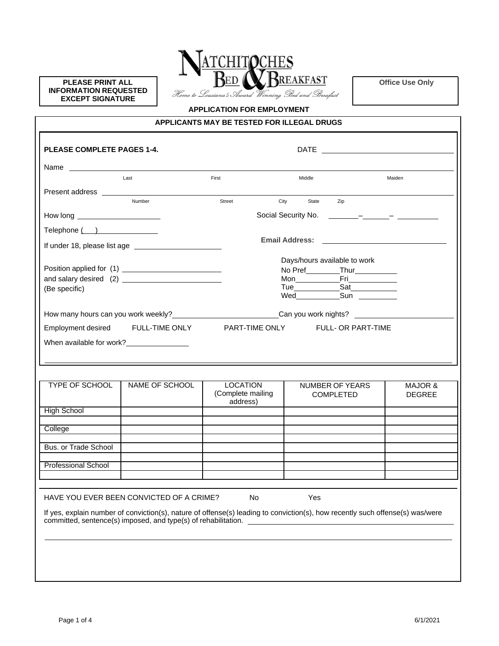**PLEASE PRINT ALL INFORMATION REQUESTED EXCEPT SIGNATURE**



**Office Use Only**

## **APPLICATION FOR EMPLOYMENT**

| APPLICANTS MAY BE TESTED FOR ILLEGAL DRUGS |  |
|--------------------------------------------|--|
|--------------------------------------------|--|

| Last<br>First<br>Number<br>Street<br>City<br><b>LOCATION</b><br><b>TYPE OF SCHOOL</b><br>NAME OF SCHOOL<br>(Complete mailing<br>address)                                                                                                                                                     |  |  |                                                                                                                 |        |                                    |        |                    |
|----------------------------------------------------------------------------------------------------------------------------------------------------------------------------------------------------------------------------------------------------------------------------------------------|--|--|-----------------------------------------------------------------------------------------------------------------|--------|------------------------------------|--------|--------------------|
|                                                                                                                                                                                                                                                                                              |  |  |                                                                                                                 | Middle |                                    | Maiden |                    |
| How long ________________________                                                                                                                                                                                                                                                            |  |  |                                                                                                                 |        |                                    |        |                    |
| Telephone ( )<br>(Be specific)                                                                                                                                                                                                                                                               |  |  |                                                                                                                 | State  | Zip                                |        |                    |
|                                                                                                                                                                                                                                                                                              |  |  |                                                                                                                 |        |                                    |        |                    |
|                                                                                                                                                                                                                                                                                              |  |  |                                                                                                                 |        |                                    |        |                    |
|                                                                                                                                                                                                                                                                                              |  |  |                                                                                                                 |        |                                    |        |                    |
|                                                                                                                                                                                                                                                                                              |  |  |                                                                                                                 |        | Days/hours available to work       |        |                    |
|                                                                                                                                                                                                                                                                                              |  |  |                                                                                                                 |        | No Pref_________Thur__________     |        |                    |
|                                                                                                                                                                                                                                                                                              |  |  |                                                                                                                 |        |                                    |        |                    |
| How many hours can you work weekly?<br>How many hours can you work weekly?                                                                                                                                                                                                                   |  |  |                                                                                                                 |        |                                    |        |                    |
|                                                                                                                                                                                                                                                                                              |  |  |                                                                                                                 |        | Wed_______________Sun ____________ |        |                    |
| Employment desired FULL-TIME ONLY PART-TIME ONLY FULL- OR PART-TIME<br>When available for work?<br><u>[</u> [16] Monthland When available for work?<br>[16] Monthland When available for work?<br><b>High School</b><br>College<br><b>Bus. or Trade School</b><br><b>Professional School</b> |  |  |                                                                                                                 |        | Can you work nights? ____________  |        |                    |
|                                                                                                                                                                                                                                                                                              |  |  |                                                                                                                 |        |                                    |        |                    |
|                                                                                                                                                                                                                                                                                              |  |  |                                                                                                                 |        |                                    |        |                    |
|                                                                                                                                                                                                                                                                                              |  |  |                                                                                                                 |        |                                    |        |                    |
|                                                                                                                                                                                                                                                                                              |  |  |                                                                                                                 |        |                                    |        |                    |
|                                                                                                                                                                                                                                                                                              |  |  |                                                                                                                 |        | NUMBER OF YEARS                    |        | <b>MAJOR &amp;</b> |
|                                                                                                                                                                                                                                                                                              |  |  |                                                                                                                 |        | <b>COMPLETED</b>                   |        | <b>DEGREE</b>      |
|                                                                                                                                                                                                                                                                                              |  |  |                                                                                                                 |        |                                    |        |                    |
|                                                                                                                                                                                                                                                                                              |  |  |                                                                                                                 |        |                                    |        |                    |
|                                                                                                                                                                                                                                                                                              |  |  |                                                                                                                 |        |                                    |        |                    |
|                                                                                                                                                                                                                                                                                              |  |  |                                                                                                                 |        |                                    |        |                    |
|                                                                                                                                                                                                                                                                                              |  |  |                                                                                                                 |        |                                    |        |                    |
|                                                                                                                                                                                                                                                                                              |  |  |                                                                                                                 |        |                                    |        |                    |
|                                                                                                                                                                                                                                                                                              |  |  |                                                                                                                 |        |                                    |        |                    |
| HAVE YOU EVER BEEN CONVICTED OF A CRIME?                                                                                                                                                                                                                                                     |  |  |                                                                                                                 |        |                                    |        |                    |
|                                                                                                                                                                                                                                                                                              |  |  | No control to the set of the set of the set of the set of the set of the set of the set of the set of the set o | Yes    |                                    |        |                    |
|                                                                                                                                                                                                                                                                                              |  |  |                                                                                                                 |        |                                    |        |                    |
| If yes, explain number of conviction(s), nature of offense(s) leading to conviction(s), how recently such offense(s) was/were                                                                                                                                                                |  |  |                                                                                                                 |        |                                    |        |                    |
| committed, sentence(s) imposed, and type(s) of rehabilitation. __________________                                                                                                                                                                                                            |  |  |                                                                                                                 |        |                                    |        |                    |
|                                                                                                                                                                                                                                                                                              |  |  |                                                                                                                 |        |                                    |        |                    |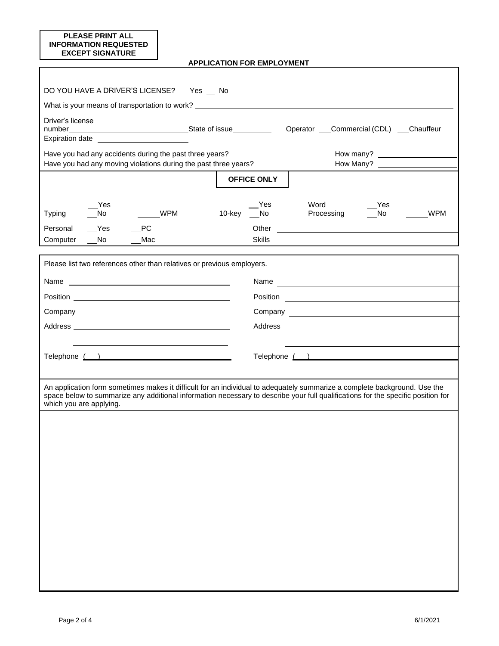| <b>PLEASE PRINT ALL</b><br><b>INFORMATION REQUESTED</b><br><b>EXCEPT SIGNATURE</b>                                                                                                                                                                                                       |                                             |                                                                                                                                                                                                                                |           |
|------------------------------------------------------------------------------------------------------------------------------------------------------------------------------------------------------------------------------------------------------------------------------------------|---------------------------------------------|--------------------------------------------------------------------------------------------------------------------------------------------------------------------------------------------------------------------------------|-----------|
|                                                                                                                                                                                                                                                                                          | <b>APPLICATION FOR EMPLOYMENT</b>           |                                                                                                                                                                                                                                |           |
| DO YOU HAVE A DRIVER'S LICENSE?                                                                                                                                                                                                                                                          | Yes __ No                                   |                                                                                                                                                                                                                                |           |
| What is your means of transportation to work? __________________________________                                                                                                                                                                                                         |                                             |                                                                                                                                                                                                                                |           |
| Driver's license<br>Expiration date _____________________________                                                                                                                                                                                                                        |                                             | Operator ___Commercial (CDL) ___Chauffeur                                                                                                                                                                                      |           |
| Have you had any accidents during the past three years?<br>Have you had any moving violations during the past three years?                                                                                                                                                               |                                             |                                                                                                                                                                                                                                | How Many? |
|                                                                                                                                                                                                                                                                                          | <b>OFFICE ONLY</b>                          |                                                                                                                                                                                                                                |           |
| Yes<br>WPM<br><b>Typing</b><br>$\sqrt{N}$<br>Yes<br>PC<br>Personal<br>Computer<br>No.<br>Mac                                                                                                                                                                                             | Yes<br>10-key _No<br>Other<br><b>Skills</b> | Word<br>Yes<br>Processing<br>$\sqrt{N}$<br><u> 1989 - Andrea Stadt Britain, fransk politik (d. 1989)</u>                                                                                                                       | WPM       |
|                                                                                                                                                                                                                                                                                          |                                             |                                                                                                                                                                                                                                |           |
| Please list two references other than relatives or previous employers.                                                                                                                                                                                                                   |                                             | Name experience and a series of the series of the series of the series of the series of the series of the series of the series of the series of the series of the series of the series of the series of the series of the seri |           |
|                                                                                                                                                                                                                                                                                          |                                             |                                                                                                                                                                                                                                |           |
|                                                                                                                                                                                                                                                                                          |                                             |                                                                                                                                                                                                                                |           |
|                                                                                                                                                                                                                                                                                          |                                             |                                                                                                                                                                                                                                |           |
| Telephone ( )                                                                                                                                                                                                                                                                            |                                             | Telephone ( )                                                                                                                                                                                                                  |           |
|                                                                                                                                                                                                                                                                                          |                                             |                                                                                                                                                                                                                                |           |
| An application form sometimes makes it difficult for an individual to adequately summarize a complete background. Use the<br>space below to summarize any additional information necessary to describe your full qualifications for the specific position for<br>which you are applying. |                                             |                                                                                                                                                                                                                                |           |
|                                                                                                                                                                                                                                                                                          |                                             |                                                                                                                                                                                                                                |           |
|                                                                                                                                                                                                                                                                                          |                                             |                                                                                                                                                                                                                                |           |
|                                                                                                                                                                                                                                                                                          |                                             |                                                                                                                                                                                                                                |           |
|                                                                                                                                                                                                                                                                                          |                                             |                                                                                                                                                                                                                                |           |
|                                                                                                                                                                                                                                                                                          |                                             |                                                                                                                                                                                                                                |           |
|                                                                                                                                                                                                                                                                                          |                                             |                                                                                                                                                                                                                                |           |
|                                                                                                                                                                                                                                                                                          |                                             |                                                                                                                                                                                                                                |           |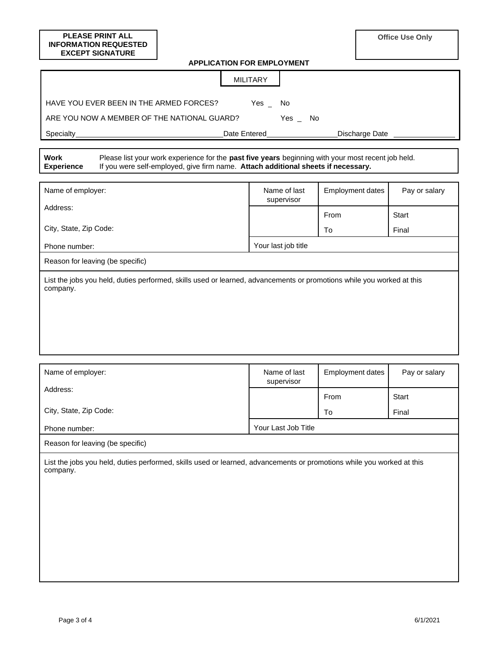| <b>PLEASE PRINT ALL</b><br><b>INFORMATION REQUESTED</b>                                                                                                                                                                     |  |    |                            |                         |  | <b>Office Use Only</b> |  |  |
|-----------------------------------------------------------------------------------------------------------------------------------------------------------------------------------------------------------------------------|--|----|----------------------------|-------------------------|--|------------------------|--|--|
| <b>EXCEPT SIGNATURE</b>                                                                                                                                                                                                     |  |    |                            |                         |  |                        |  |  |
| <b>APPLICATION FOR EMPLOYMENT</b>                                                                                                                                                                                           |  |    |                            |                         |  |                        |  |  |
| <b>MILITARY</b>                                                                                                                                                                                                             |  |    |                            |                         |  |                        |  |  |
| HAVE YOU EVER BEEN IN THE ARMED FORCES?<br>Yes $_{-}$<br>No                                                                                                                                                                 |  |    |                            |                         |  |                        |  |  |
| ARE YOU NOW A MEMBER OF THE NATIONAL GUARD?<br>Yes _ No                                                                                                                                                                     |  |    |                            |                         |  |                        |  |  |
| <u> 1989 - Johann Barn, mars ar breithinn ar chuid ann an t-</u><br>Discharge Date ______<br>Specialty_                                                                                                                     |  |    |                            |                         |  |                        |  |  |
| <b>Work</b><br>Please list your work experience for the past five years beginning with your most recent job held.<br>If you were self-employed, give firm name. Attach additional sheets if necessary.<br><b>Experience</b> |  |    |                            |                         |  |                        |  |  |
| Name of employer:                                                                                                                                                                                                           |  |    | Name of last<br>supervisor | <b>Employment dates</b> |  | Pay or salary          |  |  |
| Address:                                                                                                                                                                                                                    |  |    |                            | From                    |  | <b>Start</b>           |  |  |
| City, State, Zip Code:                                                                                                                                                                                                      |  | To |                            |                         |  | Final                  |  |  |
| Phone number:                                                                                                                                                                                                               |  |    | Your last job title        |                         |  |                        |  |  |
| Reason for leaving (be specific)                                                                                                                                                                                            |  |    |                            |                         |  |                        |  |  |
| List the jobs you held, duties performed, skills used or learned, advancements or promotions while you worked at this<br>company.                                                                                           |  |    |                            |                         |  |                        |  |  |
| Name of employer:                                                                                                                                                                                                           |  |    | Name of last               | <b>Employment dates</b> |  | Pay or salary          |  |  |
| Address:                                                                                                                                                                                                                    |  |    | supervisor                 |                         |  |                        |  |  |
|                                                                                                                                                                                                                             |  |    |                            | From                    |  | <b>Start</b>           |  |  |
| City, State, Zip Code:                                                                                                                                                                                                      |  |    |                            | To                      |  | Final                  |  |  |
| Phone number:                                                                                                                                                                                                               |  |    | Your Last Job Title        |                         |  |                        |  |  |
| Reason for leaving (be specific)                                                                                                                                                                                            |  |    |                            |                         |  |                        |  |  |
| List the jobs you held, duties performed, skills used or learned, advancements or promotions while you worked at this<br>company.                                                                                           |  |    |                            |                         |  |                        |  |  |